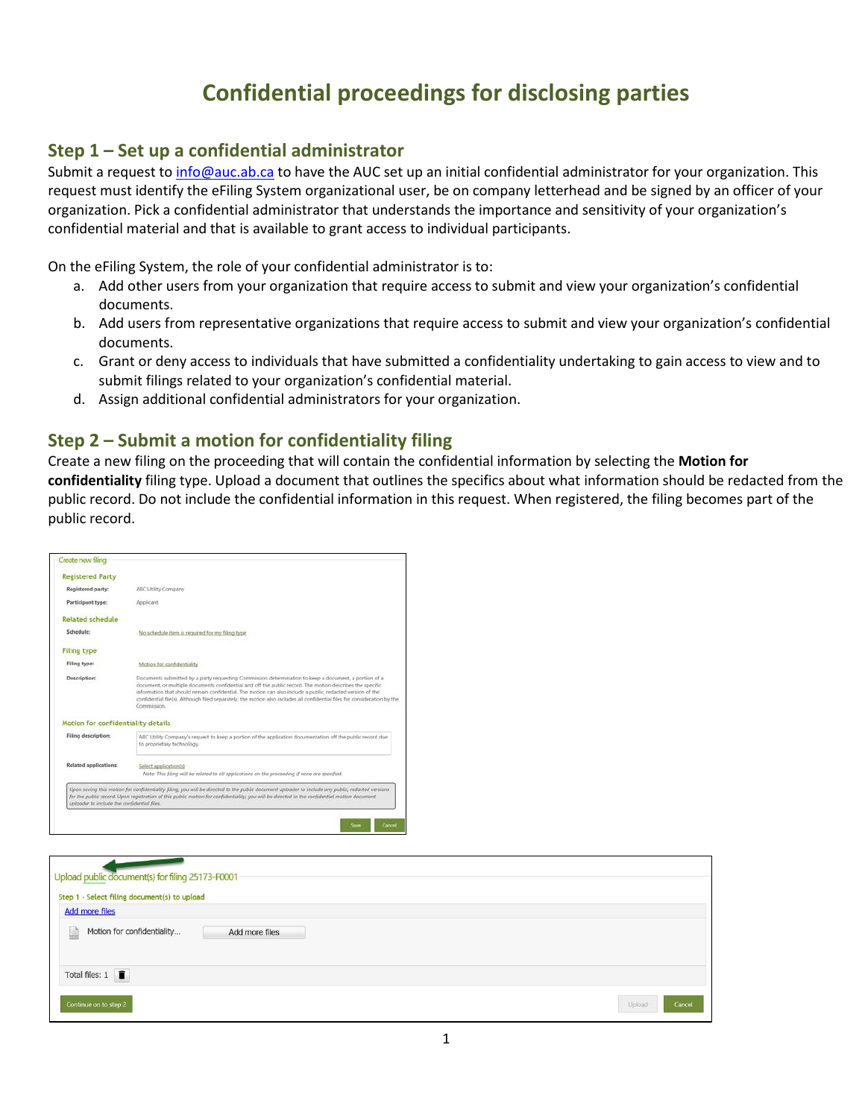# **Confidential proceedings for disclosing parties**

#### **Step 1 – Set up a confidential administrator**

Submit a request t[o info@auc.ab.ca](mailto:info@auc.ab.ca) to have the AUC set up an initial confidential administrator for your organization. This request must identify the eFiling System organizational user, be on company letterhead and be signed by an officer of your organization. Pick a confidential administrator that understands the importance and sensitivity of your organization's confidential material and that is available to grant access to individual participants.

On the eFiling System, the role of your confidential administrator is to:

- a. Add other users from your organization that require access to submit and view your organization's confidential documents.
- b. Add users from representative organizations that require access to submit and view your organization's confidential documents.
- c. Grant or deny access to individuals that have submitted a confidentiality undertaking to gain access to view and to submit filings related to your organization's confidential material.
- d. Assign additional confidential administrators for your organization.

### **Step 2 – Submit a motion for confidentiality filing**

Create a new filing on the proceeding that will contain the confidential information by selecting the **Motion for confidentiality** filing type. Upload a document that outlines the specifics about what information should be redacted from the public record. Do not include the confidential information in this request. When registered, the filing becomes part of the public record.

| <b>Registered Party</b>                     |                                                                                                                                                                                                                                                                                                                                                                                                                                                                              |
|---------------------------------------------|------------------------------------------------------------------------------------------------------------------------------------------------------------------------------------------------------------------------------------------------------------------------------------------------------------------------------------------------------------------------------------------------------------------------------------------------------------------------------|
| Registered party:                           | ABC Utility Company                                                                                                                                                                                                                                                                                                                                                                                                                                                          |
| Participant type:                           | Applicant                                                                                                                                                                                                                                                                                                                                                                                                                                                                    |
| <b>Related schedule</b>                     |                                                                                                                                                                                                                                                                                                                                                                                                                                                                              |
| Schedule:                                   | No schedule item is required for my filing type                                                                                                                                                                                                                                                                                                                                                                                                                              |
| <b>Filing type</b>                          |                                                                                                                                                                                                                                                                                                                                                                                                                                                                              |
| Filing type:                                | Motion for confidentiality                                                                                                                                                                                                                                                                                                                                                                                                                                                   |
| <b>Description:</b>                         | Documents submitted by a party requesting Commission determination to keep a document, a portion of a<br>document, or multiple documents confidential and off the public record. The motion describes the specific<br>information that should remain confidential. The motion can also include a public, redacted version of the<br>confidential file(s). Although filed separately, the motion also includes all confidential files for consideration by the<br>Commission. |
| Motion for confidentiality details          |                                                                                                                                                                                                                                                                                                                                                                                                                                                                              |
| Filing description:                         | ABC Utility Company's request to keep a portion of the application documentation off the public record due<br>to proprietary technology.                                                                                                                                                                                                                                                                                                                                     |
| <b>Related applications:</b>                | Select application(s)<br>Note: This filing will be related to all applications on the proceeding if none are specified.                                                                                                                                                                                                                                                                                                                                                      |
| uploader to include the confidential files. | Upon saving this motion for confidentiality filing, you will be directed to the public document uploader to include any public, redacted versions<br>for the public record. Upon registration of this public motion for confidentiality, you will be directed to the confidential motion document                                                                                                                                                                            |

| Upload public document(s) for filing 25173-F0001 |                |  |                  |
|--------------------------------------------------|----------------|--|------------------|
| Step 1 - Select filing document(s) to upload     |                |  |                  |
| <b>Add more files</b>                            |                |  |                  |
| Motion for confidentiality<br>E                  | Add more files |  |                  |
| Total files: $1 \quad \blacksquare$              |                |  |                  |
| Continue on to step 2                            |                |  | Cancel<br>Upload |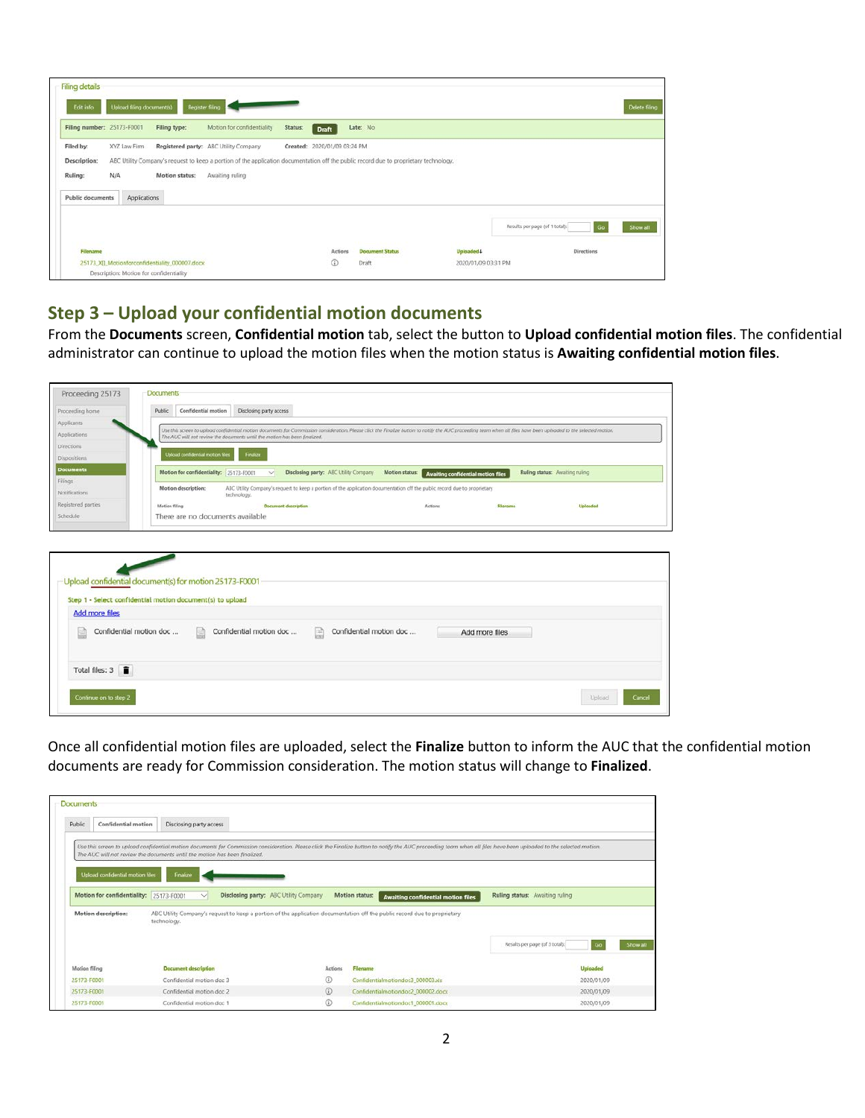| <b>Filing details</b><br>Edit info                              | Upload filing document(s)               |                                                | Register filing                                                                                                                                                                                   |         |                              |                        |                     |                                      | Delete filmg |
|-----------------------------------------------------------------|-----------------------------------------|------------------------------------------------|---------------------------------------------------------------------------------------------------------------------------------------------------------------------------------------------------|---------|------------------------------|------------------------|---------------------|--------------------------------------|--------------|
| Filing number: 25173-F0001                                      |                                         | Filing type:                                   | Motion for confidentiality                                                                                                                                                                        | Status: | Draft                        | Late: No               |                     |                                      |              |
| Filed by:<br>Description:<br>Ruling:<br><b>Public documents</b> | XYZ Law Firm<br>N/A<br>Applications     | Motion status:                                 | Registered party: ABC Utility Company<br>ABC Utility Company's request to keep a portion of the application documentation off the public record due to proprietary technology.<br>Awaiting ruling |         | Created: 2020/01/09 03:24 PM |                        |                     |                                      |              |
|                                                                 |                                         |                                                |                                                                                                                                                                                                   |         |                              |                        |                     | Results per page (of 1 total):<br>Go | Show all     |
| Filename                                                        |                                         |                                                |                                                                                                                                                                                                   |         | Actions                      | <b>Document Status</b> | Uploaded 4          | <b>Directions</b>                    |              |
|                                                                 | Description: Motion for confidentiality | 25173 XII Motionforconfidentiality 000007.docx |                                                                                                                                                                                                   |         | ⊙                            | Draft<br>59 S          | 2020/01/09 03:31 PM |                                      |              |

# **Step 3 – Upload your confidential motion documents**

From the **Documents** screen, **Confidential motion** tab, select the button to **Upload confidential motion files**. The confidential administrator can continue to upload the motion files when the motion status is **Awaiting confidential motion files**.

| Proceeding home             | Confidential motion<br>Disclosing party access<br><b>Public</b>                                                                                                                                                                                                                                  |
|-----------------------------|--------------------------------------------------------------------------------------------------------------------------------------------------------------------------------------------------------------------------------------------------------------------------------------------------|
| Applicants                  |                                                                                                                                                                                                                                                                                                  |
| Applications                | Use this screen to upload confidential motion documents for Commission consideration. Please click the Finalize button to notify the AUC proceeding team when all files have been uploaded to the selected motion.<br>The AUC will not review the documents until the motion has been finalized. |
| <b>Directions</b>           |                                                                                                                                                                                                                                                                                                  |
| Dispositions                | Upload confidential motion file<br><b>Finalize</b>                                                                                                                                                                                                                                               |
| <b>Documents</b><br>Filings | Motion for confidentiality: 25173-F0001<br>Disclosing party: ABC Utility Company<br>Motion status:<br>Ruling status: Awaiting ruling<br>$\sim$<br><b>Awaiting confidential motion files</b>                                                                                                      |
| Natifications               | ABC Utility Company's request to keep a portion of the application documentation off the public record due to proprietary<br>Motion description:<br>technology.                                                                                                                                  |
| Registered parties          | Motion filing<br><b>Document description</b><br><b>Actions</b><br>Filename<br>Uplaaded                                                                                                                                                                                                           |
| Schedule                    | There are no documents available                                                                                                                                                                                                                                                                 |
|                             |                                                                                                                                                                                                                                                                                                  |
| <b>Add more files</b>       | Upload confidential document(s) for motion 25173-F0001<br>Step 1 - Select confidential motion document(s) to upload                                                                                                                                                                              |
|                             | Confidential motion doc<br>Confidential motion doc<br>圖<br>Confidential motion doc<br>励<br>Add more files                                                                                                                                                                                        |
| Total files: 3              |                                                                                                                                                                                                                                                                                                  |

Once all confidential motion files are uploaded, select the **Finalize** button to inform the AUC that the confidential motion documents are ready for Commission consideration. The motion status will change to **Finalized**.

| Public                                      | Confidential motion              | Disclosing party access                                                    |                                       |         |                                                                                                                                                                                                                    |                                |                 |
|---------------------------------------------|----------------------------------|----------------------------------------------------------------------------|---------------------------------------|---------|--------------------------------------------------------------------------------------------------------------------------------------------------------------------------------------------------------------------|--------------------------------|-----------------|
|                                             |                                  |                                                                            |                                       |         | Use this screen to uplood confidential motion documents for Commission consideration. Please click the Finalize button to notify the AUC proceeding team when all files have been uploaded to the selected motion. |                                |                 |
|                                             |                                  | The AUC will not review the documents until the motion has been finalized. |                                       |         |                                                                                                                                                                                                                    |                                |                 |
|                                             |                                  |                                                                            |                                       |         |                                                                                                                                                                                                                    |                                |                 |
|                                             | Upload confidential motion files | Finalize                                                                   |                                       |         |                                                                                                                                                                                                                    |                                |                 |
|                                             | Motion for confidentiality:      | 25173-F0001<br>M                                                           | Disclosing party: ABC Utility Company |         | Motion status:<br><b>Awaiting confidential motion files</b>                                                                                                                                                        | Ruling status: Awaiting ruling |                 |
|                                             |                                  |                                                                            |                                       |         |                                                                                                                                                                                                                    |                                |                 |
|                                             |                                  |                                                                            |                                       |         |                                                                                                                                                                                                                    |                                |                 |
|                                             | Motion description:              |                                                                            |                                       |         | ABC Utility Company's request to keep a portion of the application documentation off the public record due to proprietary                                                                                          |                                |                 |
|                                             |                                  | technology.                                                                |                                       |         |                                                                                                                                                                                                                    |                                |                 |
|                                             |                                  |                                                                            |                                       |         |                                                                                                                                                                                                                    | Results per page (of 3 total): | Show all        |
|                                             |                                  |                                                                            |                                       |         |                                                                                                                                                                                                                    |                                |                 |
|                                             |                                  | <b>Document description</b>                                                |                                       | Actions | Filename                                                                                                                                                                                                           |                                | <b>Uploaded</b> |
|                                             |                                  | Confidential motion doc 3                                                  | $\circledR$                           |         | Confidentialmotiondoc3_000003.xls                                                                                                                                                                                  |                                | 2020/01/09      |
| Motion filing<br>25173-F0001<br>25173-F0001 |                                  | Confidential motion doc 2                                                  | $\omega$                              |         | Confidentialmotiondoc2_000002.docx                                                                                                                                                                                 |                                | 2020/01/09      |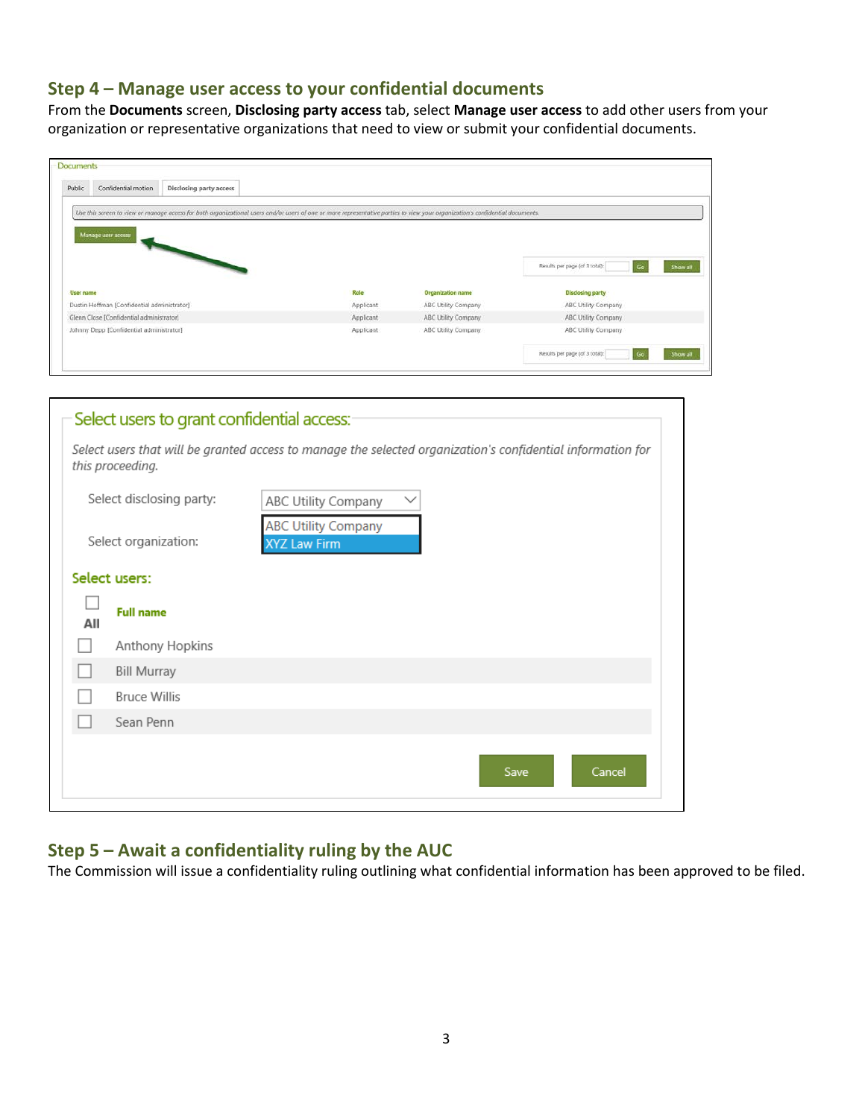#### **Step 4 – Manage user access to your confidential documents**

From the **Documents** screen, **Disclosing party access** tab, select **Manage user access** to add other users from your organization or representative organizations that need to view or submit your confidential documents.

| Public<br>Confidential motion<br>Disclosing party access                                                                                                                      |           |                          |                                                  |
|-------------------------------------------------------------------------------------------------------------------------------------------------------------------------------|-----------|--------------------------|--------------------------------------------------|
| Use this screen to view or manage access for both organizational users and/or users of one or more representative parties to view your organization's confidential documents. |           |                          |                                                  |
| Manage user access                                                                                                                                                            |           |                          |                                                  |
|                                                                                                                                                                               |           |                          |                                                  |
|                                                                                                                                                                               |           |                          | Results per page (of 3 total):<br>Go<br>Show all |
|                                                                                                                                                                               | Role      | <b>Organization name</b> | <b>Disclosing party</b>                          |
|                                                                                                                                                                               | Applicant | ABC Utility Company      | ABC Utility Company                              |
|                                                                                                                                                                               | Applicant | ABC Utility Company      | ABC Utility Company                              |
| User name<br>Dustin Hoffman [Confidential administrator]<br>Glenn Close [Confidential administrator]<br>Johnny Depp [Confidential administrator]                              | Applicant | ABC Utility Company      | ABC Utility Company                              |

| Select users to grant confidential access: |                                                                                                             |
|--------------------------------------------|-------------------------------------------------------------------------------------------------------------|
| this proceeding.                           | Select users that will be granted access to manage the selected organization's confidential information for |
| Select disclosing party:                   | ABC Utility Company                                                                                         |
| Select organization:                       | <b>ABC Utility Company</b><br>XYZ Law Firm                                                                  |
| Select users:                              |                                                                                                             |
| <b>Full name</b><br>All                    |                                                                                                             |
| Anthony Hopkins                            |                                                                                                             |
| <b>Bill Murray</b>                         |                                                                                                             |
| <b>Bruce Willis</b>                        |                                                                                                             |
| Sean Penn                                  |                                                                                                             |
|                                            | Cancel<br>Save                                                                                              |

## **Step 5 – Await a confidentiality ruling by the AUC**

The Commission will issue a confidentiality ruling outlining what confidential information has been approved to be filed.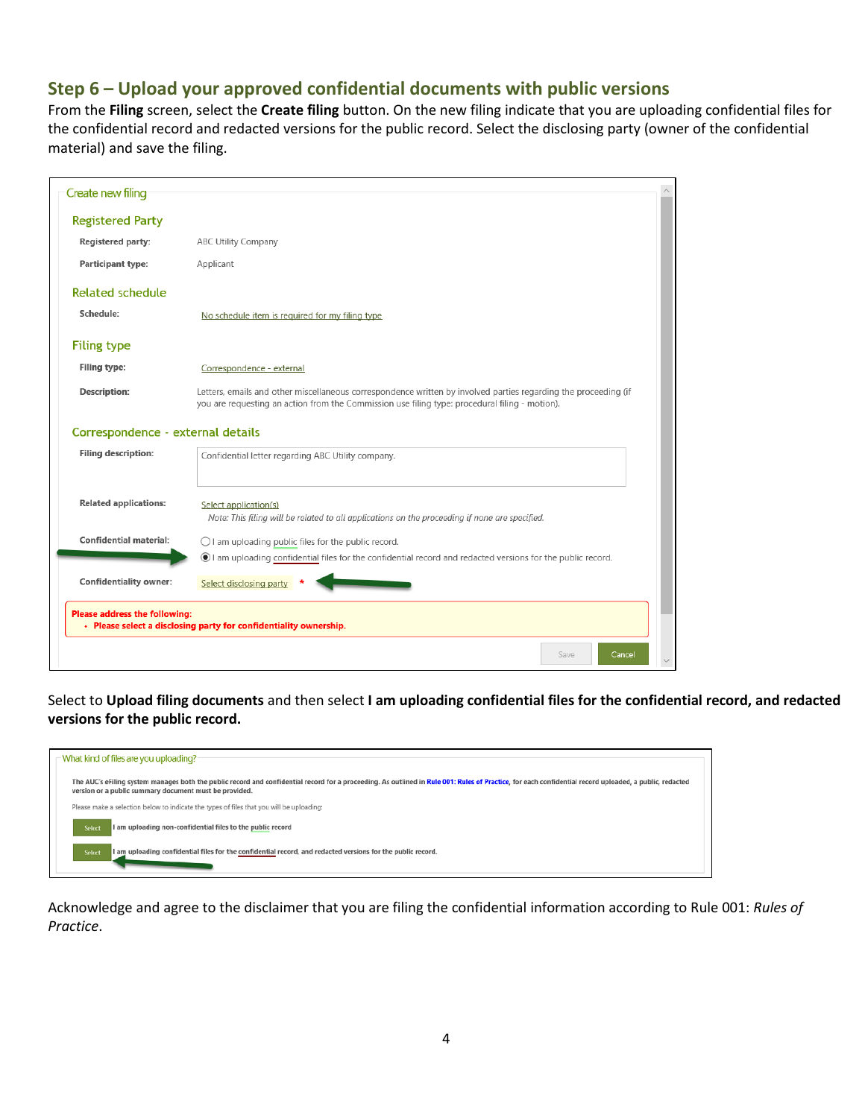# **Step 6 – Upload your approved confidential documents with public versions**

From the **Filing** screen, select the **Create filing** button. On the new filing indicate that you are uploading confidential files for the confidential record and redacted versions for the public record. Select the disclosing party (owner of the confidential material) and save the filing.

| Create new filing                 |                                                                                                                                                                                                                   |  |
|-----------------------------------|-------------------------------------------------------------------------------------------------------------------------------------------------------------------------------------------------------------------|--|
| <b>Registered Party</b>           |                                                                                                                                                                                                                   |  |
| Registered party:                 | <b>ABC Utility Company</b>                                                                                                                                                                                        |  |
| Participant type:                 | Applicant                                                                                                                                                                                                         |  |
| <b>Related schedule</b>           |                                                                                                                                                                                                                   |  |
| Schedule:                         | No schedule item is required for my filing type                                                                                                                                                                   |  |
| <b>Filing type</b>                |                                                                                                                                                                                                                   |  |
| Filing type:                      | Correspondence - external                                                                                                                                                                                         |  |
| Description:                      | Letters, emails and other miscellaneous correspondence written by involved parties regarding the proceeding (if<br>you are requesting an action from the Commission use filing type: procedural filing - motion). |  |
| Correspondence - external details |                                                                                                                                                                                                                   |  |
| <b>Filing description:</b>        | Confidential letter regarding ABC Utility company.                                                                                                                                                                |  |
|                                   |                                                                                                                                                                                                                   |  |
| <b>Related applications:</b>      | Select application(s)<br>Note: This filing will be related to all applications on the proceeding if none are specified.                                                                                           |  |
| <b>Confidential material:</b>     |                                                                                                                                                                                                                   |  |
|                                   | $\bigcirc$ I am uploading public files for the public record.<br>I am uploading confidential files for the confidential record and redacted versions for the public record.                                       |  |
| <b>Confidentiality owner:</b>     | Select disclosing party                                                                                                                                                                                           |  |
| Please address the following:     | • Please select a disclosing party for confidentiality ownership.                                                                                                                                                 |  |
|                                   | Save<br>Cancel                                                                                                                                                                                                    |  |

Select to **Upload filing documents** and then select **I am uploading confidential files for the confidential record, and redacted versions for the public record.**



Acknowledge and agree to the disclaimer that you are filing the confidential information according to Rule 001: *Rules of Practice*.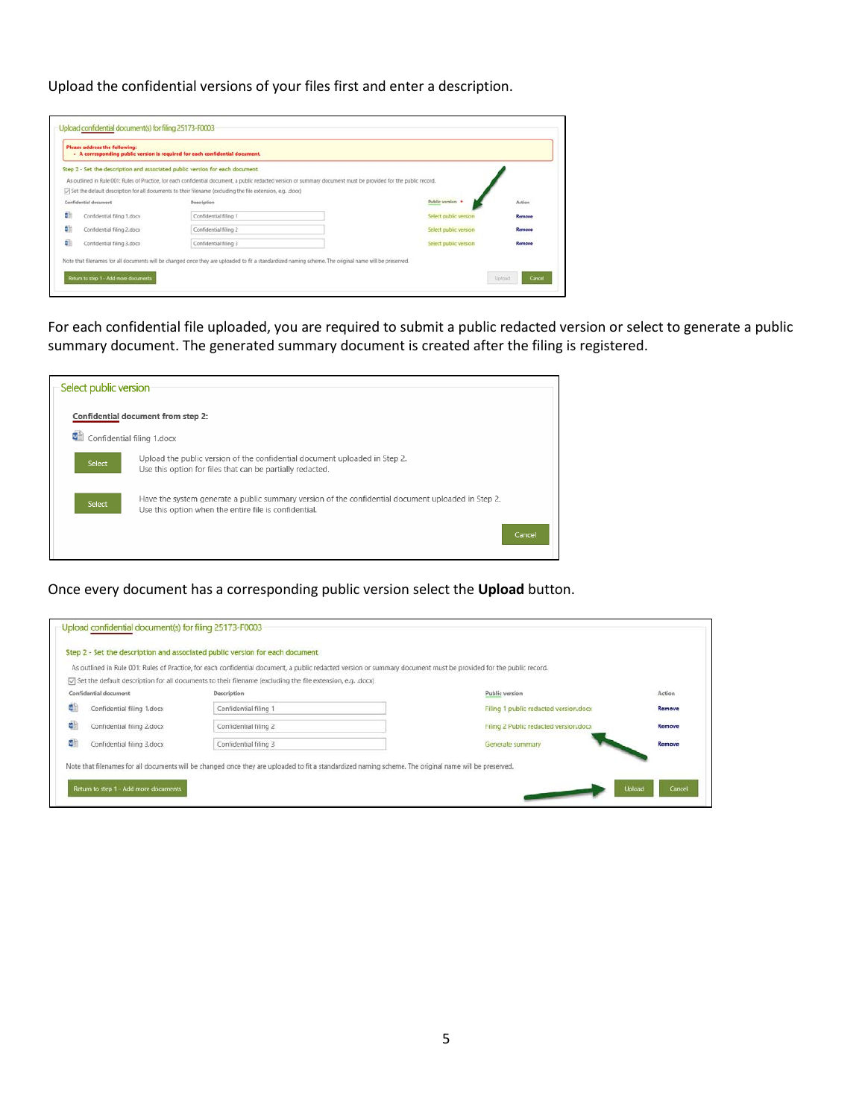Upload the confidential versions of your files first and enter a description.

|                       |                            | - A corresponding public version is required for each confidential document.                                                                                      |                       |                         |
|-----------------------|----------------------------|-------------------------------------------------------------------------------------------------------------------------------------------------------------------|-----------------------|-------------------------|
|                       |                            | Step 2 - Set the description and associated public version for each document                                                                                      |                       |                         |
|                       |                            | As outlined in Rule 001: Rules of Practice, for each confidential document, a public redacted version or summary document must be provided for the public record. |                       |                         |
|                       |                            | [7] Set the default description for all documents to their filename (excluding the file extension, e.g. .dock)                                                    |                       |                         |
| Confidential document |                            | Description                                                                                                                                                       | Public version        | <b>SOURCE</b><br>Action |
| dì                    | Confidential filing 1.docx | Confidential filing 1                                                                                                                                             | Select public version | Remove                  |
| dh                    | Confidential filing 2.docx | Confidential filing 2                                                                                                                                             | Select public version | Remove                  |
| dh                    | Confidential filing 3.docx | Confidential filing 3                                                                                                                                             | Select public version | Remove                  |

For each confidential file uploaded, you are required to submit a public redacted version or select to generate a public summary document. The generated summary document is created after the filing is registered.



Once every document has a corresponding public version select the **Upload** button.

|                                  | As outlined in Rule 001: Rules of Practice, for each confidential document, a public redacted version or summary document must be provided for the public record. |                                       |        |
|----------------------------------|-------------------------------------------------------------------------------------------------------------------------------------------------------------------|---------------------------------------|--------|
|                                  | [7] Set the default description for all documents to their filename (excluding the file extension, e.g. .docx)                                                    |                                       |        |
| Confidential document            | Description                                                                                                                                                       | Public version                        | Action |
| đ.<br>Confidential filing 1.docx | Confidential filing 1                                                                                                                                             | Filing 1 public redacted version.docx | Remove |
| ü<br>Confidential filing 2.docx  | Confidential filing 2                                                                                                                                             | Filing 2 Public redacted version.docx | Remove |
| ¢<br>Confidential filing 3.docx  | Confidential filing 3                                                                                                                                             | Generate summary                      | Remove |
|                                  | Note that filenames for all documents will be changed once they are uploaded to fit a standardized naming scheme. The original name will be preserved.            |                                       |        |